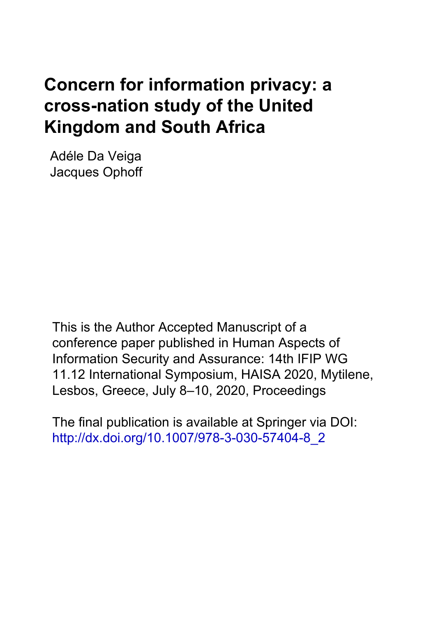# **Concern for information privacy: a cross-nation study of the United Kingdom and South Africa**

Adéle Da Veiga Jacques Ophoff

This is the Author Accepted Manuscript of a conference paper published in Human Aspects of Information Security and Assurance: 14th IFIP WG 11.12 International Symposium, HAISA 2020, Mytilene, Lesbos, Greece, July 8–10, 2020, Proceedings

The final publication is available at Springer via DOI: [http://dx.doi.org/10.1007/978-3-030-57404-8\\_2](http://dx.doi.org/10.1007/978-3-030-57404-8_2)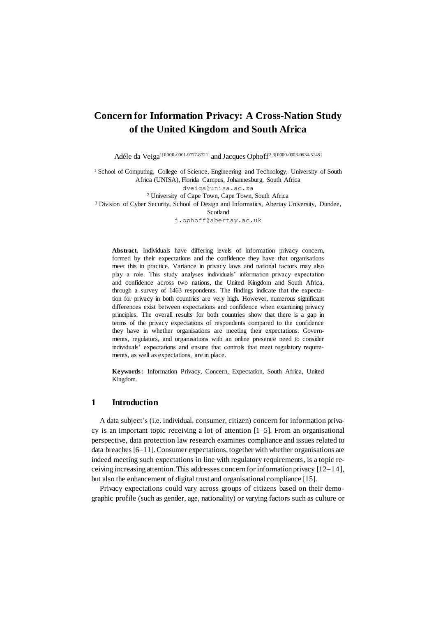# **Concern for Information Privacy: A Cross-Nation Study of the United Kingdom and South Africa**

Adéle da Veiga<sup>1[0000-0001-9777-8721]</sup> and Jacques Ophoff<sup>2,3[0000-0003-0634-5248]</sup>

<sup>1</sup> School of Computing, College of Science, Engineering and Technology, University of South Africa (UNISA), Florida Campus, Johannesburg, South Africa

dveiga@unisa.ac.za

<sup>2</sup> University of Cape Town, Cape Town, South Africa

<sup>3</sup> Division of Cyber Security, School of Design and Informatics, Abertay University, Dundee,

Scotland

j.ophoff@abertay.ac.uk

**Abstract.** Individuals have differing levels of information privacy concern, formed by their expectations and the confidence they have that organisations meet this in practice. Variance in privacy laws and national factors may also play a role. This study analyses individuals' information privacy expectation and confidence across two nations, the United Kingdom and South Africa, through a survey of 1463 respondents. The findings indicate that the expectation for privacy in both countries are very high. However, numerous significant differences exist between expectations and confidence when examining privacy principles. The overall results for both countries show that there is a gap in terms of the privacy expectations of respondents compared to the confidence they have in whether organisations are meeting their expectations. Governments, regulators, and organisations with an online presence need to consider individuals' expectations and ensure that controls that meet regulatory requirements, as well as expectations, are in place.

**Keywords:** Information Privacy, Concern, Expectation, South Africa, United Kingdom.

# **1 Introduction**

A data subject's (i.e. individual, consumer, citizen) concern for information privacy is an important topic receiving a lot of attention [1–5]. From an organisational perspective, data protection law research examines compliance and issues related to data breaches [6–11]. Consumer expectations, together with whether organisations are indeed meeting such expectations in line with regulatory requirements, is a topic receiving increasing attention. This addresses concern for information privacy [12–14], but also the enhancement of digital trust and organisational compliance [15].

Privacy expectations could vary across groups of citizens based on their demographic profile (such as gender, age, nationality) or varying factors such as culture or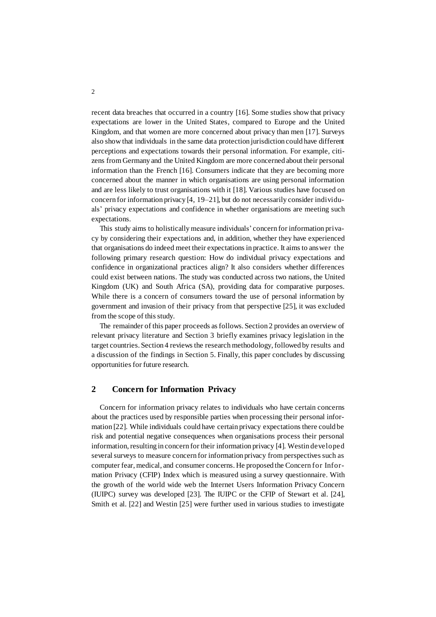recent data breaches that occurred in a country [16]. Some studies show that privacy expectations are lower in the United States, compared to Europe and the United Kingdom, and that women are more concerned about privacy than men [17]. Surveys also show that individuals in the same data protection jurisdiction could have different perceptions and expectations towards their personal information. For example, citizens from Germany and the United Kingdom are more concerned about their personal information than the French [16]. Consumers indicate that they are becoming more concerned about the manner in which organisations are using personal information and are less likely to trust organisations with it [18]. Various studies have focused on concern for information privacy [4, 19–21], but do not necessarily consider individuals' privacy expectations and confidence in whether organisations are meeting such expectations.

This study aims to holistically measure individuals' concern for information privacy by considering their expectations and, in addition, whether they have experienced that organisations do indeed meet their expectations in practice. It aims to answer the following primary research question: How do individual privacy expectations and confidence in organizational practices align? It also considers whether differences could exist between nations. The study was conducted across two nations, the United Kingdom (UK) and South Africa (SA), providing data for comparative purposes. While there is a concern of consumers toward the use of personal information by government and invasion of their privacy from that perspective [25], it was excluded from the scope of this study.

The remainder of this paper proceeds as follows. Section 2 provides an overview of relevant privacy literature and Section 3 briefly examines privacy legislation in the target countries. Section 4 reviews the research methodology, followed by results and a discussion of the findings in Section 5. Finally, this paper concludes by discussing opportunities for future research.

# **2 Concern for Information Privacy**

Concern for information privacy relates to individuals who have certain concerns about the practices used by responsible parties when processing their personal information [22]. While individuals could have certain privacy expectations there could be risk and potential negative consequences when organisations process their personal information, resulting in concern for their information privacy [4]. Westin developed several surveys to measure concern for information privacy from perspectives such as computer fear, medical, and consumer concerns. He proposed the Concern for Information Privacy (CFIP) Index which is measured using a survey questionnaire. With the growth of the world wide web the Internet Users Information Privacy Concern (IUIPC) survey was developed [23]. The IUIPC or the CFIP of Stewart et al. [24], Smith et al. [22] and Westin [25] were further used in various studies to investigate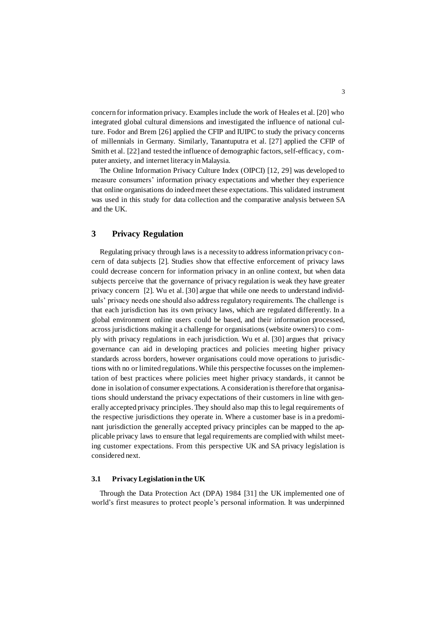concern for information privacy. Examples include the work of Heales et al. [20] who integrated global cultural dimensions and investigated the influence of national culture. Fodor and Brem [26] applied the CFIP and IUIPC to study the privacy concerns of millennials in Germany. Similarly, Tanantuputra et al. [27] applied the CFIP of Smith et al. [22] and tested the influence of demographic factors, self-efficacy, computer anxiety, and internet literacy in Malaysia.

The Online Information Privacy Culture Index (OIPCI) [12, 29] was developed to measure consumers' information privacy expectations and whether they experience that online organisations do indeed meet these expectations. This validated instrument was used in this study for data collection and the comparative analysis between SA and the UK.

# **3 Privacy Regulation**

Regulating privacy through laws is a necessity to address information privacy concern of data subjects [2]. Studies show that effective enforcement of privacy laws could decrease concern for information privacy in an online context, but when data subjects perceive that the governance of privacy regulation is weak they have greater privacy concern [2]. Wu et al. [30] argue that while one needs to understand individuals' privacy needs one should also address regulatory requirements. The challenge is that each jurisdiction has its own privacy laws, which are regulated differently. In a global environment online users could be based, and their information processed, across jurisdictions making it a challenge for organisations (website owners) to comply with privacy regulations in each jurisdiction. Wu et al. [30] argues that privacy governance can aid in developing practices and policies meeting higher privacy standards across borders, however organisations could move operations to jurisdictions with no or limited regulations. While this perspective focusses on the implementation of best practices where policies meet higher privacy standards, it cannot be done in isolation of consumer expectations. A consideration is therefore that organisations should understand the privacy expectations of their customers in line with generally accepted privacy principles. They should also map this to legal requirements of the respective jurisdictions they operate in. Where a customer base is in a predominant jurisdiction the generally accepted privacy principles can be mapped to the applicable privacy laws to ensure that legal requirements are complied with whilst meeting customer expectations. From this perspective UK and SA privacy legislation is considered next.

#### **3.1 Privacy Legislation in the UK**

Through the Data Protection Act (DPA) 1984 [31] the UK implemented one of world's first measures to protect people's personal information. It was underpinned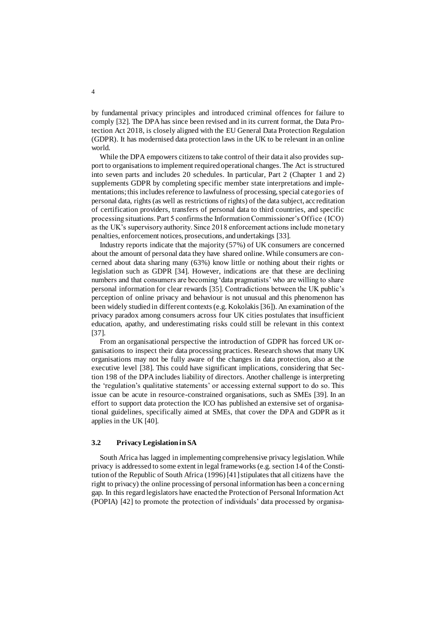by fundamental privacy principles and introduced criminal offences for failure to comply [32]. The DPA has since been revised and in its current format, the Data Protection Act 2018, is closely aligned with the EU General Data Protection Regulation (GDPR). It has modernised data protection laws in the UK to be relevant in an online world.

While the DPA empowers citizens to take control of their data it also provides support to organisations to implement required operational changes. The Act is structured into seven parts and includes 20 schedules. In particular, Part 2 (Chapter 1 and 2) supplements GDPR by completing specific member state interpretations and implementations; this includes reference to lawfulness of processing, special categories of personal data, rights (as well as restrictions of rights) of the data subject, accreditation of certification providers, transfers of personal data to third countries, and specific processing situations. Part 5 confirms the Information Commissioner's Office (ICO) as the UK's supervisory authority. Since 2018 enforcement actions include monetary penalties, enforcement notices, prosecutions, and undertakings [33].

Industry reports indicate that the majority (57%) of UK consumers are concerned about the amount of personal data they have shared online. While consumers are concerned about data sharing many (63%) know little or nothing about their rights or legislation such as GDPR [34]. However, indications are that these are declining numbers and that consumers are becoming 'data pragmatists' who are willing to share personal information for clear rewards [35]. Contradictions between the UK public's perception of online privacy and behaviour is not unusual and this phenomenon has been widely studied in different contexts (e.g. Kokolakis [36]). An examination of the privacy paradox among consumers across four UK cities postulates that insufficient education, apathy, and underestimating risks could still be relevant in this context [37].

From an organisational perspective the introduction of GDPR has forced UK organisations to inspect their data processing practices. Research shows that many UK organisations may not be fully aware of the changes in data protection, also at the executive level [38]. This could have significant implications, considering that Section 198 of the DPA includes liability of directors. Another challenge is interpreting the 'regulation's qualitative statements' or accessing external support to do so. This issue can be acute in resource-constrained organisations, such as SMEs [39]. In an effort to support data protection the ICO has published an extensive set of organisational guidelines, specifically aimed at SMEs, that cover the DPA and GDPR as it applies in the UK [40].

#### **3.2 Privacy Legislation in SA**

South Africa has lagged in implementing comprehensive privacy legislation. While privacy is addressed to some extent in legal frameworks (e.g. section 14 of the Constitution of the Republic of South Africa (1996) [41]stipulates that all citizens have the right to privacy) the online processing of personal information has been a concerning gap. In this regard legislators have enacted the Protection of Personal Information Act (POPIA) [42] to promote the protection of individuals' data processed by organisa-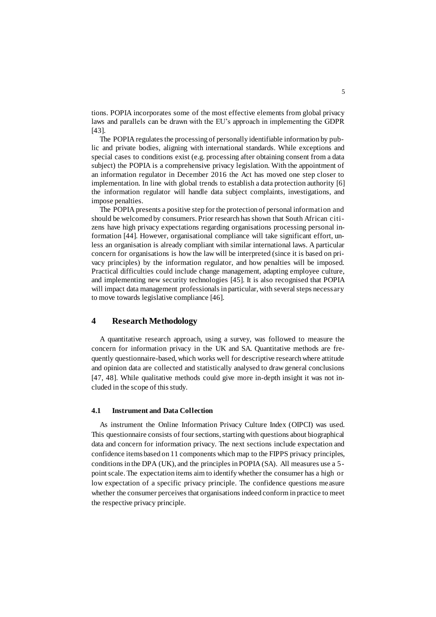tions. POPIA incorporates some of the most effective elements from global privacy laws and parallels can be drawn with the EU's approach in implementing the GDPR [43].

The POPIA regulates the processing of personally identifiable information by public and private bodies, aligning with international standards. While exceptions and special cases to conditions exist (e.g. processing after obtaining consent from a data subject) the POPIA is a comprehensive privacy legislation. With the appointment of an information regulator in December 2016 the Act has moved one step closer to implementation. In line with global trends to establish a data protection authority [6] the information regulator will handle data subject complaints, investigations, and impose penalties.

The POPIA presents a positive step for the protection of personal information and should be welcomed by consumers. Prior research has shown that South African citizens have high privacy expectations regarding organisations processing personal information [44]. However, organisational compliance will take significant effort, unless an organisation is already compliant with similar international laws. A particular concern for organisations is how the law will be interpreted (since it is based on privacy principles) by the information regulator, and how penalties will be imposed. Practical difficulties could include change management, adapting employee culture, and implementing new security technologies [45]. It is also recognised that POPIA will impact data management professionals in particular, with several steps necessary to move towards legislative compliance [46].

# **4 Research Methodology**

A quantitative research approach, using a survey, was followed to measure the concern for information privacy in the UK and SA. Quantitative methods are frequently questionnaire-based, which works well for descriptive research where attitude and opinion data are collected and statistically analysed to draw general conclusions [47, 48]. While qualitative methods could give more in-depth insight it was not included in the scope of this study.

#### **4.1 Instrument and Data Collection**

As instrument the Online Information Privacy Culture Index (OIPCI) was used. This questionnaire consists of four sections, starting with questions about biographical data and concern for information privacy. The next sections include expectation and confidence items based on 11 components which map to the FIPPS privacy principles, conditions in the DPA (UK), and the principles in POPIA (SA). All measures use a 5 point scale. The expectation items aim to identify whether the consumer has a high or low expectation of a specific privacy principle. The confidence questions measure whether the consumer perceives that organisations indeed conform in practice to meet the respective privacy principle.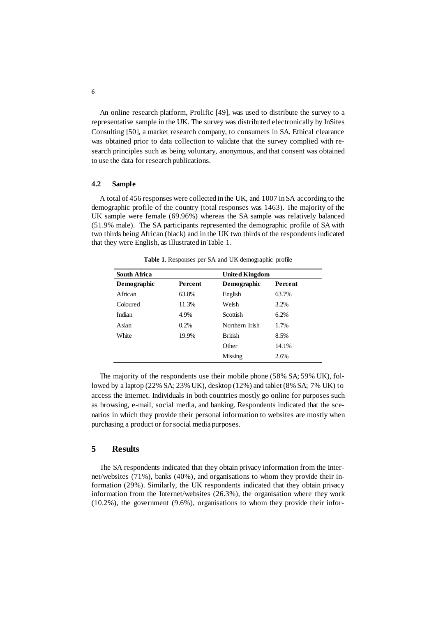An online research platform, Prolific [49], was used to distribute the survey to a representative sample in the UK. The survey was distributed electronically by InSites Consulting [50], a market research company, to consumers in SA. Ethical clearance was obtained prior to data collection to validate that the survey complied with research principles such as being voluntary, anonymous, and that consent was obtained to use the data for research publications.

#### **4.2 Sample**

A total of 456 responses were collected in the UK, and 1007 in SA according to the demographic profile of the country (total responses was 1463). The majority of the UK sample were female (69.96%) whereas the SA sample was relatively balanced (51.9% male). The SA participants represented the demographic profile of SA with two thirds being African (black) and in the UK two thirds of the respondents indicated that they were English, as illustrated in Table 1.

| <b>South Africa</b> |         | <b>United Kingdom</b> |         |
|---------------------|---------|-----------------------|---------|
| <b>Demographic</b>  | Percent | <b>Demographic</b>    | Percent |
| African             | 63.8%   | English               | 63.7%   |
| Coloured            | 11.3%   | Welsh                 | 3.2%    |
| Indian              | 4.9%    | Scottish              | 6.2%    |
| Asian               | 0.2%    | Northern Irish        | 1.7%    |
| White               | 19.9%   | <b>British</b>        | 8.5%    |
|                     |         | Other                 | 14.1%   |
|                     |         | Missing               | 2.6%    |

**Table 1.** Responses per SA and UK demographic profile

The majority of the respondents use their mobile phone (58% SA; 59% UK), followed by a laptop (22% SA; 23% UK), desktop (12%) and tablet (8% SA; 7% UK) to access the Internet. Individuals in both countries mostly go online for purposes such as browsing, e-mail, social media, and banking. Respondents indicated that the scenarios in which they provide their personal information to websites are mostly when purchasing a product or for social media purposes.

# **5 Results**

The SA respondents indicated that they obtain privacy information from the Internet/websites (71%), banks (40%), and organisations to whom they provide their information (29%). Similarly, the UK respondents indicated that they obtain privacy information from the Internet/websites (26.3%), the organisation where they work (10.2%), the government (9.6%), organisations to whom they provide their infor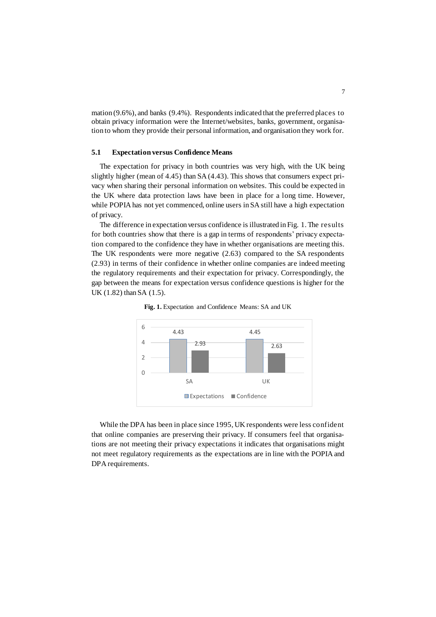mation (9.6%), and banks (9.4%). Respondents indicated that the preferred places to obtain privacy information were the Internet/websites, banks, government, organisation to whom they provide their personal information, and organisation they work for.

#### **5.1 Expectation versus Confidence Means**

The expectation for privacy in both countries was very high, with the UK being slightly higher (mean of 4.45) than SA (4.43). This shows that consumers expect privacy when sharing their personal information on websites. This could be expected in the UK where data protection laws have been in place for a long time. However, while POPIA has not yet commenced, online users in SA still have a high expectation of privacy.

The difference in expectation versus confidence is illustrated in Fig. 1. The results for both countries show that there is a gap in terms of respondents' privacy expectation compared to the confidence they have in whether organisations are meeting this. The UK respondents were more negative (2.63) compared to the SA respondents (2.93) in terms of their confidence in whether online companies are indeed meeting the regulatory requirements and their expectation for privacy. Correspondingly, the gap between the means for expectation versus confidence questions is higher for the UK (1.82) than SA (1.5).



**Fig. 1.** Expectation and Confidence Means: SA and UK

While the DPA has been in place since 1995, UK respondents were less confident that online companies are preserving their privacy. If consumers feel that organisations are not meeting their privacy expectations it indicates that organisations might not meet regulatory requirements as the expectations are in line with the POPIA and DPA requirements.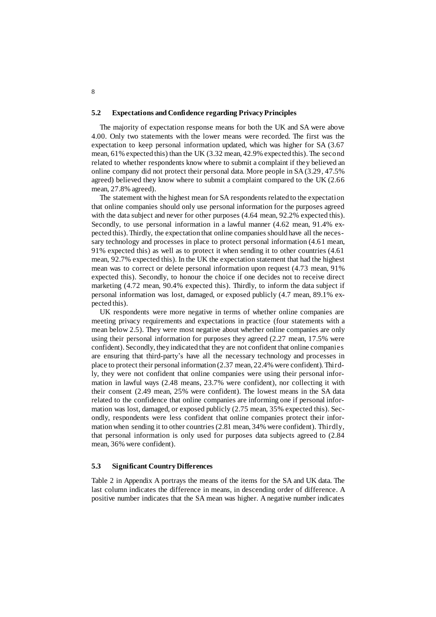#### **5.2 Expectations and Confidence regarding Privacy Principles**

The majority of expectation response means for both the UK and SA were above 4.00. Only two statements with the lower means were recorded. The first was the expectation to keep personal information updated, which was higher for SA (3.67 mean, 61% expected this) than the UK (3.32 mean, 42.9% expected this). The second related to whether respondents know where to submit a complaint if they believed an online company did not protect their personal data. More people in SA (3.29, 47.5% agreed) believed they know where to submit a complaint compared to the UK (2.66 mean, 27.8% agreed).

The statement with the highest mean for SA respondents related to the expectation that online companies should only use personal information for the purposes agreed with the data subject and never for other purposes (4.64 mean, 92.2% expected this). Secondly, to use personal information in a lawful manner (4.62 mean, 91.4% expected this). Thirdly, the expectation that online companies should have all the necessary technology and processes in place to protect personal information (4.61 mean, 91% expected this) as well as to protect it when sending it to other countries (4.61 mean, 92.7% expected this). In the UK the expectation statement that had the highest mean was to correct or delete personal information upon request (4.73 mean, 91% expected this). Secondly, to honour the choice if one decides not to receive direct marketing (4.72 mean, 90.4% expected this). Thirdly, to inform the data subject if personal information was lost, damaged, or exposed publicly (4.7 mean, 89.1% expected this).

UK respondents were more negative in terms of whether online companies are meeting privacy requirements and expectations in practice (four statements with a mean below 2.5). They were most negative about whether online companies are only using their personal information for purposes they agreed (2.27 mean, 17.5% were confident). Secondly, they indicated that they are not confident that online companies are ensuring that third-party's have all the necessary technology and processes in place to protect their personal information (2.37 mean, 22.4% were confident). Thirdly, they were not confident that online companies were using their personal information in lawful ways (2.48 means, 23.7% were confident), nor collecting it with their consent (2.49 mean, 25% were confident). The lowest means in the SA data related to the confidence that online companies are informing one if personal information was lost, damaged, or exposed publicly (2.75 mean, 35% expected this). Secondly, respondents were less confident that online companies protect their information when sending it to other countries (2.81 mean, 34% were confident). Thirdly, that personal information is only used for purposes data subjects agreed to (2.84 mean, 36% were confident).

#### **5.3 Significant Country Differences**

Table 2 in Appendix A portrays the means of the items for the SA and UK data. The last column indicates the difference in means, in descending order of difference. A positive number indicates that the SA mean was higher. A negative number indicates

8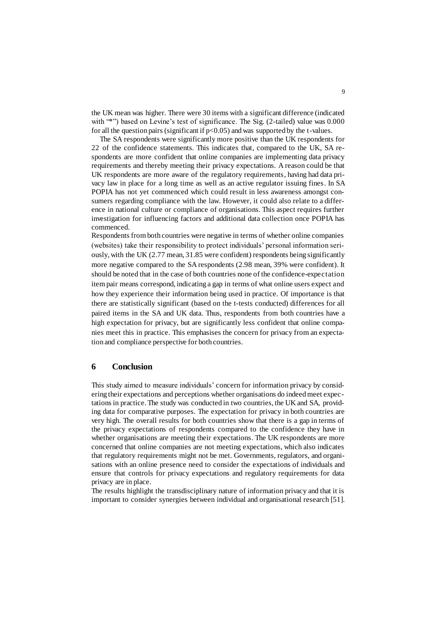the UK mean was higher. There were 30 items with a significant difference (indicated with "\*") based on Levine's test of significance. The Sig. (2-tailed) value was 0.000 for all the question pairs (significant if  $p<0.05$ ) and was supported by the t-values.

The SA respondents were significantly more positive than the UK respondents for 22 of the confidence statements. This indicates that, compared to the UK, SA respondents are more confident that online companies are implementing data privacy requirements and thereby meeting their privacy expectations. A reason could be that UK respondents are more aware of the regulatory requirements, having had data privacy law in place for a long time as well as an active regulator issuing fines. In SA POPIA has not yet commenced which could result in less awareness amongst consumers regarding compliance with the law. However, it could also relate to a difference in national culture or compliance of organisations. This aspect requires further investigation for influencing factors and additional data collection once POPIA has commenced.

Respondents from both countries were negative in terms of whether online companies (websites) take their responsibility to protect individuals' personal information seriously, with the UK (2.77 mean, 31.85 were confident) respondents being significantly more negative compared to the SA respondents (2.98 mean, 39% were confident). It should be noted that in the case of both countries none of the confidence-expectation item pair means correspond, indicating a gap in terms of what online users expect and how they experience their information being used in practice. Of importance is that there are statistically significant (based on the t-tests conducted) differences for all paired items in the SA and UK data. Thus, respondents from both countries have a high expectation for privacy, but are significantly less confident that online companies meet this in practice. This emphasises the concern for privacy from an expectation and compliance perspective for both countries.

## **6 Conclusion**

This study aimed to measure individuals' concern for information privacy by considering their expectations and perceptions whether organisations do indeed meet expectations in practice. The study was conducted in two countries, the UK and SA, providing data for comparative purposes. The expectation for privacy in both countries are very high. The overall results for both countries show that there is a gap in terms of the privacy expectations of respondents compared to the confidence they have in whether organisations are meeting their expectations. The UK respondents are more concerned that online companies are not meeting expectations, which also indicates that regulatory requirements might not be met. Governments, regulators, and organisations with an online presence need to consider the expectations of individuals and ensure that controls for privacy expectations and regulatory requirements for data privacy are in place.

The results highlight the transdisciplinary nature of information privacy and that it is important to consider synergies between individual and organisational research [51].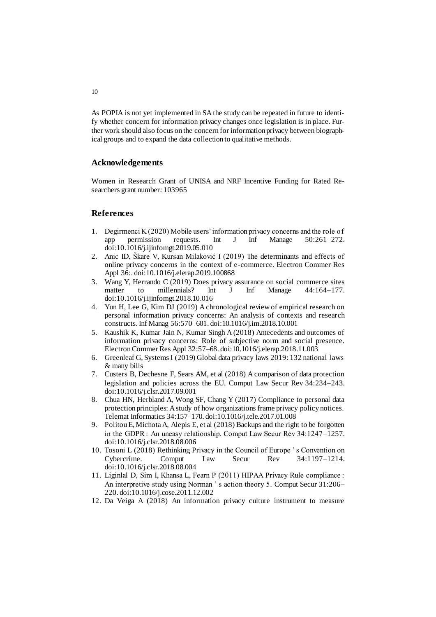As POPIA is not yet implemented in SA the study can be repeated in future to identify whether concern for information privacy changes once legislation is in place. Further work should also focus on the concern for information privacy between biographical groups and to expand the data collection to qualitative methods.

#### **Acknowledgements**

Women in Research Grant of UNISA and NRF Incentive Funding for Rated Researchers grant number: 103965

#### **References**

- 1. Degirmenci K (2020) Mobile users' information privacy concerns and the role of app permission requests. Int J Inf Manage 50:261–272. doi:10.1016/j.ijinfomgt.2019.05.010
- 2. Anic ID, Škare V, Kursan Milaković I (2019) The determinants and effects of online privacy concerns in the context of e-commerce. Electron Commer Res Appl 36:. doi:10.1016/j.elerap.2019.100868
- 3. Wang Y, Herrando C (2019) Does privacy assurance on social commerce sites matter to millennials? Int J Inf Manage 44:164–177. doi:10.1016/j.ijinfomgt.2018.10.016
- 4. Yun H, Lee G, Kim DJ (2019) A chronological review of empirical research on personal information privacy concerns: An analysis of contexts and research constructs. Inf Manag 56:570–601. doi:10.1016/j.im.2018.10.001
- 5. Kaushik K, Kumar Jain N, Kumar Singh A (2018) Antecedents and outcomes of information privacy concerns: Role of subjective norm and social presence. Electron Commer Res Appl 32:57–68. doi:10.1016/j.elerap.2018.11.003
- 6. Greenleaf G, Systems I (2019) Global data privacy laws 2019: 132 national laws & many bills
- 7. Custers B, Dechesne F, Sears AM, et al (2018) A comparison of data protection legislation and policies across the EU. Comput Law Secur Rev 34:234–243. doi:10.1016/j.clsr.2017.09.001
- 8. Chua HN, Herbland A, Wong SF, Chang Y (2017) Compliance to personal data protection principles: A study of how organizations frame privacy policy notices. Telemat Informatics 34:157–170. doi:10.1016/j.tele.2017.01.008
- 9. Politou E, Michota A, Alepis E, et al (2018) Backups and the right to be forgotten in the GDPR : An uneasy relationship. Comput Law Secur Rev 34:1247–1257. doi:10.1016/j.clsr.2018.08.006
- 10. Tosoni L (2018) Rethinking Privacy in the Council of Europe ' s Convention on Cybercrime. Comput Law Secur Rev 34:1197–1214. doi:10.1016/j.clsr.2018.08.004
- 11. Liginlal D, Sim I, Khansa L, Fearn P (2011) HIPAA Privacy Rule compliance : An interpretive study using Norman ' s action theory 5. Comput Secur 31:206– 220. doi:10.1016/j.cose.2011.12.002
- 12. Da Veiga A (2018) An information privacy culture instrument to measure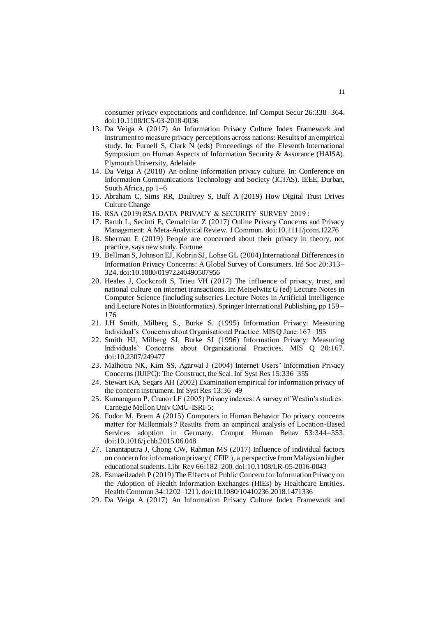consumer privacy expectations and confidence. Inf Comput Secur 26:338–364. doi:10.1108/ICS-03-2018-0036

- 13. Da Veiga A (2017) An Information Privacy Culture Index Framework and Instrument to measure privacy perceptions across nations: Results of an empirical study. In: Furnell S, Clark N (eds) Proceedings of the Eleventh International Symposium on Human Aspects of Information Security & Assurance (HAISA). Plymouth University, Adelaide
- 14. Da Veiga A (2018) An online information privacy culture. In: Conference on Information Communications Technology and Society (ICTAS). IEEE, Durban, South Africa, pp 1–6
- 15. Abraham C, Sims RR, Daultrey S, Buff A (2019) How Digital Trust Drives Culture Change
- 16. RSA (2019) RSA DATA PRIVACY & SECURITY SURVEY 2019 :
- 17. Baruh L, Secinti E, Cemalcilar Z (2017) Online Privacy Concerns and Privacy Management: A Meta-Analytical Review. J Commun. doi:10.1111/jcom.12276
- 18. Sherman E (2019) People are concerned about their privacy in theory, not practice, says new study. Fortune
- 19. Bellman S, Johnson EJ, Kobrin SJ, Lohse GL (2004) International Differences in Information Privacy Concerns: A Global Survey of Consumers. Inf Soc 20:313– 324. doi:10.1080/01972240490507956
- 20. Heales J, Cockcroft S, Trieu VH (2017) The influence of privacy, trust, and national culture on internet transactions. In: Meiselwitz G (ed) Lecture Notes in Computer Science (including subseries Lecture Notes in Artificial Intelligence and Lecture Notes in Bioinformatics). Springer International Publishing, pp 159 – 176
- 21. J.H Smith, Milberg S., Burke S. (1995) Information Privacy: Measuring Individual's Concerns about Organisational Practice. MIS Q June:167–195
- 22. Smith HJ, Milberg SJ, Burke SJ (1996) Information Privacy: Measuring Individuals' Concerns about Organizational Practices. MIS Q 20:167. doi:10.2307/249477
- 23. Malhotra NK, Kim SS, Agarwal J (2004) Internet Users' Information Privacy Concerns (IUIPC): The Construct, the Scal. Inf Syst Res 15:336–355
- 24. Stewart KA, Segars AH (2002) Examination empirical for information privacy of the concern instrument. Inf Syst Res 13:36–49
- 25. Kumaraguru P, Cranor LF (2005) Privacy indexes: A survey of Westin's studies. Carnegie Mellon Univ CMU-ISRI-5:
- 26. Fodor M, Brem A (2015) Computers in Human Behavior Do privacy concerns matter for Millennials ? Results from an empirical analysis of Location-Based Services adoption in Germany. Comput Human Behav 53:344–353. doi:10.1016/j.chb.2015.06.048
- 27. Tanantaputra J, Chong CW, Rahman MS (2017) Influence of individual factors on concern for information privacy ( CFIP ), a perspective from Malaysian higher educational students. Libr Rev 66:182–200. doi:10.1108/LR-05-2016-0043
- 28. Esmaeilzadeh P (2019) The Effects of Public Concern for Information Privacy on the Adoption of Health Information Exchanges (HIEs) by Healthcare Entities. Health Commun 34:1202–1211. doi:10.1080/10410236.2018.1471336
- 29. Da Veiga A (2017) An Information Privacy Culture Index Framework and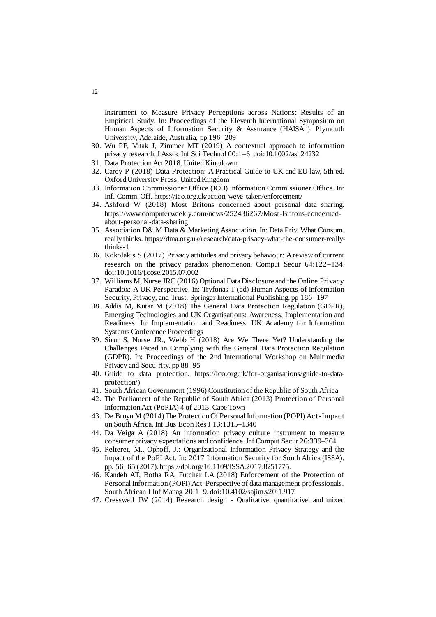Instrument to Measure Privacy Perceptions across Nations: Results of an Empirical Study. In: Proceedings of the Eleventh International Symposium on Human Aspects of Information Security & Assurance (HAISA ). Plymouth University, Adelaide, Australia, pp 196–209

- 30. Wu PF, Vitak J, Zimmer MT (2019) A contextual approach to information privacy research. J Assoc Inf Sci Technol 00:1–6. doi:10.1002/asi.24232
- 31. Data Protection Act 2018. United Kingdowm
- 32. Carey P (2018) Data Protection: A Practical Guide to UK and EU law, 5th ed. Oxford University Press, United Kingdom
- 33. Information Commissioner Office (ICO) Information Commissioner Office. In: Inf. Comm. Off. https://ico.org.uk/action-weve-taken/enforcement/
- 34. Ashford W (2018) Most Britons concerned about personal data sharing. https://www.computerweekly.com/news/252436267/Most-Britons-concernedabout-personal-data-sharing
- 35. Association D& M Data & Marketing Association. In: Data Priv. What Consum. really thinks. https://dma.org.uk/research/data-privacy-what-the-consumer-reallythinks-1
- 36. Kokolakis S (2017) Privacy attitudes and privacy behaviour: A review of current research on the privacy paradox phenomenon. Comput Secur 64:122–134. doi:10.1016/j.cose.2015.07.002
- 37. Williams M, Nurse JRC (2016) Optional Data Disclosure and the Online Privacy Paradox: A UK Perspective. In: Tryfonas T (ed) Human Aspects of Information Security, Privacy, and Trust. Springer International Publishing, pp 186–197
- 38. Addis M, Kutar M (2018) The General Data Protection Regulation (GDPR), Emerging Technologies and UK Organisations: Awareness, Implementation and Readiness. In: Implementation and Readiness. UK Academy for Information Systems Conference Proceedings
- 39. Sirur S, Nurse JR., Webb H (2018) Are We There Yet? Understanding the Challenges Faced in Complying with the General Data Protection Regulation (GDPR). In: Proceedings of the 2nd International Workshop on Multimedia Privacy and Secu-rity. pp 88–95
- 40. Guide to data protection. https://ico.org.uk/for-organisations/guide-to-dataprotection/)
- 41. South African Government (1996) Constitution of the Republic of South Africa
- 42. The Parliament of the Republic of South Africa (2013) Protection of Personal Information Act (PoPIA) 4 of 2013. Cape Town
- 43. De Bruyn M (2014) The Protection Of Personal Information (POPI) Act-Impact on South Africa. Int Bus Econ Res J 13:1315–1340
- 44. Da Veiga A (2018) An information privacy culture instrument to measure consumer privacy expectations and confidence. Inf Comput Secur 26:339–364
- 45. Pelteret, M., Ophoff, J.: Organizational Information Privacy Strategy and the Impact of the PoPI Act. In: 2017 Information Security for South Africa (ISSA). pp. 56–65 (2017). https://doi.org/10.1109/ISSA.2017.8251775.
- 46. Kandeh AT, Botha RA, Futcher LA (2018) Enforcement of the Protection of Personal Information (POPI) Act: Perspective of data management professionals. South African J Inf Manag 20:1–9. doi:10.4102/sajim.v20i1.917
- 47. Cresswell JW (2014) Research design Qualitative, quantitative, and mixed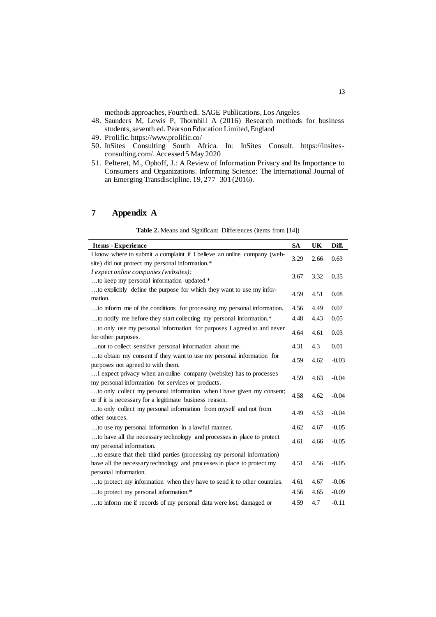methods approaches, Fourth edi. SAGE Publications, Los Angeles

- 48. Saunders M, Lewis P, Thornhill A (2016) Research methods for business students, seventh ed. Pearson Education Limited, England
- 49. Prolific. https://www.prolific.co/
- 50. InSites Consulting South Africa. In: InSites Consult. https://insitesconsulting.com/. Accessed 5 May 2020
- 51. Pelteret, M., Ophoff, J.: A Review of Information Privacy and Its Importance to Consumers and Organizations. Informing Science: The International Journal of an Emerging Transdiscipline. 19, 277–301 (2016).

# **7 Appendix A**

**Table 2.** Means and Significant Differences (items from [14])

| Items - Experience                                                      | <b>SA</b> | UK   | Diff.   |
|-------------------------------------------------------------------------|-----------|------|---------|
| I know where to submit a complaint if I believe an online company (web- |           | 2.66 | 0.63    |
| site) did not protect my personal information.*                         |           |      |         |
| I expect online companies (websites):                                   |           | 3.32 | 0.35    |
| to keep my personal information updated.*                               |           |      |         |
| to explicitly define the purpose for which they want to use my infor-   |           | 4.51 | 0.08    |
| mation.                                                                 |           |      |         |
| to inform me of the conditions for processing my personal information.  | 4.56      | 4.49 | 0.07    |
| to notify me before they start collecting my personal information.*     | 4.48      | 4.43 | 0.05    |
| to only use my personal information for purposes I agreed to and never  |           |      |         |
| for other purposes.                                                     |           | 4.61 | 0.03    |
| not to collect sensitive personal information about me.                 | 4.31      | 4.3  | 0.01    |
| to obtain my consent if they want to use my personal information for    | 4.59      | 4.62 | $-0.03$ |
| purposes not agreed to with them.                                       |           |      |         |
| I expect privacy when an online company (website) has to processes      |           | 4.63 | $-0.04$ |
| my personal information for services or products.                       | 4.59      |      |         |
| to only collect my personal information when I have given my consent;   |           | 4.62 | $-0.04$ |
| or if it is necessary for a legitimate business reason.                 |           |      |         |
| to only collect my personal information from myself and not from        | 4.49      | 4.53 | $-0.04$ |
| other sources.                                                          |           |      |         |
| to use my personal information in a lawful manner.                      | 4.62      | 4.67 | $-0.05$ |
| to have all the necessary technology and processes in place to protect  | 4.61      | 4.66 | $-0.05$ |
| my personal information.                                                |           |      |         |
| to ensure that their third parties (processing my personal information) |           |      |         |
| have all the necessary technology and processes in place to protect my  | 4.51      | 4.56 | $-0.05$ |
| personal information.                                                   |           |      |         |
| to protect my information when they have to send it to other countries. | 4.61      | 4.67 | $-0.06$ |
| to protect my personal information.*                                    | 4.56      | 4.65 | $-0.09$ |
| to inform me if records of my personal data were lost, damaged or       | 4.59      | 4.7  | $-0.11$ |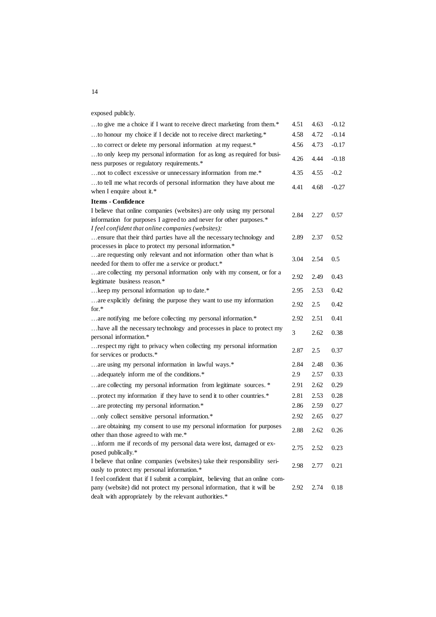exposed publicly.

| to give me a choice if I want to receive direct marketing from them.*                                                                                                                                             | 4.51 | 4.63 | $-0.12$ |
|-------------------------------------------------------------------------------------------------------------------------------------------------------------------------------------------------------------------|------|------|---------|
| to honour my choice if I decide not to receive direct marketing.*                                                                                                                                                 | 4.58 | 4.72 | $-0.14$ |
| to correct or delete my personal information at my request.*                                                                                                                                                      |      | 4.73 | $-0.17$ |
| to only keep my personal information for as long as required for busi-<br>ness purposes or regulatory requirements.*                                                                                              | 4.26 | 4.44 | $-0.18$ |
| not to collect excessive or unnecessary information from me.*                                                                                                                                                     | 4.35 | 4.55 | $-0.2$  |
| to tell me what records of personal information they have about me.<br>when I enquire about it. $*$                                                                                                               | 4.41 | 4.68 | $-0.27$ |
| <b>Items - Confidence</b>                                                                                                                                                                                         |      |      |         |
| I believe that online companies (websites) are only using my personal<br>information for purposes I agreed to and never for other purposes.*<br>I feel confident that online companies (websites):                | 2.84 | 2.27 | 0.57    |
| ensure that their third parties have all the necessary technology and                                                                                                                                             | 2.89 | 2.37 | 0.52    |
| processes in place to protect my personal information.*                                                                                                                                                           |      |      |         |
| are requesting only relevant and not information other than what is<br>needed for them to offer me a service or product.*                                                                                         | 3.04 | 2.54 | 0.5     |
| are collecting my personal information only with my consent, or for a<br>legitimate business reason.*                                                                                                             | 2.92 | 2.49 | 0.43    |
| keep my personal information up to date.*                                                                                                                                                                         | 2.95 | 2.53 | 0.42    |
| are explicitly defining the purpose they want to use my information<br>for. $*$                                                                                                                                   | 2.92 | 2.5  | 0.42    |
| are notifying me before collecting my personal information.*                                                                                                                                                      | 2.92 | 2.51 | 0.41    |
| have all the necessary technology and processes in place to protect my<br>personal information.*                                                                                                                  | 3    | 2.62 | 0.38    |
| respect my right to privacy when collecting my personal information<br>for services or products.*                                                                                                                 | 2.87 | 2.5  | 0.37    |
| are using my personal information in lawful ways.*                                                                                                                                                                | 2.84 | 2.48 | 0.36    |
| adequately inform me of the conditions.*                                                                                                                                                                          | 2.9  | 2.57 | 0.33    |
| are collecting my personal information from legitimate sources. *                                                                                                                                                 | 2.91 | 2.62 | 0.29    |
| protect my information if they have to send it to other countries.*                                                                                                                                               | 2.81 | 2.53 | 0.28    |
| are protecting my personal information.*                                                                                                                                                                          | 2.86 | 2.59 | 0.27    |
| only collect sensitive personal information.*                                                                                                                                                                     | 2.92 | 2.65 | 0.27    |
| are obtaining my consent to use my personal information for purposes<br>other than those agreed to with me.*                                                                                                      | 2.88 | 2.62 | 0.26    |
| inform me if records of my personal data were lost, damaged or ex-<br>posed publically.*                                                                                                                          | 2.75 | 2.52 | 0.23    |
| I believe that online companies (websites) take their responsibility seri-<br>ously to protect my personal information.*                                                                                          | 2.98 | 2.77 | 0.21    |
| I feel confident that if I submit a complaint, believing that an online com-<br>pany (website) did not protect my personal information, that it will be<br>dealt with appropriately by the relevant authorities.* | 2.92 | 2.74 | 0.18    |

14